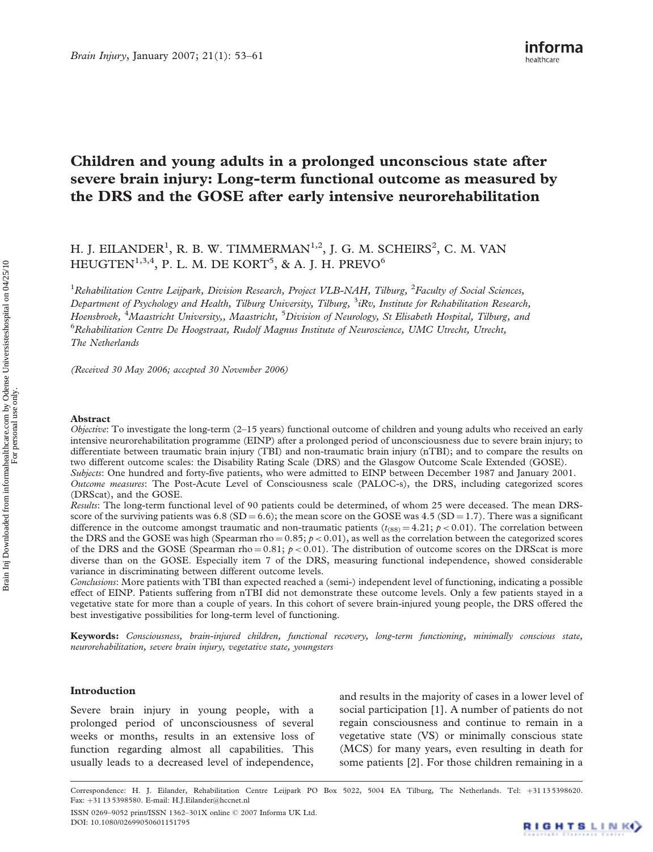# Children and young adults in a prolonged unconscious state after severe brain injury: Long-term functional outcome as measured by the DRS and the GOSE after early intensive neurorehabilitation

# H. J. EILANDER<sup>1</sup>, R. B. W. TIMMERMAN<sup>1,2</sup>, J. G. M. SCHEIRS<sup>2</sup>, C. M. VAN  $\mathrm{HEUGTEN}^{1,3,4},$  P. L. M. DE  $\mathrm{KORT}^5,$  & A. J. H.  $\mathrm{PREVO}^6$

<sup>1</sup> Rehabilitation Centre Leijpark, Division Research, Project VLB-NAH, Tilburg, <sup>2</sup> Faculty of Social Sciences, Department of Psychology and Health, Tilburg University, Tilburg,  ${}^{3}$ iRv, Institute for Rehabilitation Research, Hoensbroek, <sup>4</sup>Maastricht University,, Maastricht, <sup>5</sup>Division of Neurology, St Elisabeth Hospital, Tilburg, and  $^6$ Rehabilitation Centre De Hoogstraat, Rudolf Magnus Institute of Neuroscience, UMC Utrecht, Utrecht, The Netherlands

(Received 30 May 2006; accepted 30 November 2006)

#### Abstract

Objective: To investigate the long-term (2–15 years) functional outcome of children and young adults who received an early intensive neurorehabilitation programme (EINP) after a prolonged period of unconsciousness due to severe brain injury; to differentiate between traumatic brain injury (TBI) and non-traumatic brain injury (nTBI); and to compare the results on two different outcome scales: the Disability Rating Scale (DRS) and the Glasgow Outcome Scale Extended (GOSE). Subjects: One hundred and forty-five patients, who were admitted to EINP between December 1987 and January 2001. Outcome measures: The Post-Acute Level of Consciousness scale (PALOC-s), the DRS, including categorized scores (DRScat), and the GOSE.

Results: The long-term functional level of 90 patients could be determined, of whom 25 were deceased. The mean DRSscore of the surviving patients was 6.8 (SD = 6.6); the mean score on the GOSE was 4.5 (SD = 1.7). There was a significant difference in the outcome amongst traumatic and non-traumatic patients ( $t_{(88)} = 4.21$ ;  $\rho < 0.01$ ). The correlation between the DRS and the GOSE was high (Spearman rho =  $0.85$ ;  $p < 0.01$ ), as well as the correlation between the categorized scores of the DRS and the GOSE (Spearman rho = 0.81;  $p < 0.01$ ). The distribution of outcome scores on the DRScat is more diverse than on the GOSE. Especially item 7 of the DRS, measuring functional independence, showed considerable variance in discriminating between different outcome levels.

Conclusions: More patients with TBI than expected reached a (semi-) independent level of functioning, indicating a possible effect of EINP. Patients suffering from nTBI did not demonstrate these outcome levels. Only a few patients stayed in a vegetative state for more than a couple of years. In this cohort of severe brain-injured young people, the DRS offered the best investigative possibilities for long-term level of functioning.

Keywords: Consciousness, brain-injured children, functional recovery, long-term functioning, minimally conscious state, neurorehabilitation, severe brain injury, vegetative state, youngsters

# Introduction

Severe brain injury in young people, with a prolonged period of unconsciousness of several weeks or months, results in an extensive loss of function regarding almost all capabilities. This usually leads to a decreased level of independence,

and results in the majority of cases in a lower level of social participation [1]. A number of patients do not regain consciousness and continue to remain in a vegetative state (VS) or minimally conscious state (MCS) for many years, even resulting in death for some patients [2]. For those children remaining in a

Correspondence: H. J. Eilander, Rehabilitation Centre Leijpark PO Box 5022, 5004 EA Tilburg, The Netherlands. Tel: +31 13 5398620. Fax: +31 13 5398580. E-mail: H.J.Eilander@hccnet.nl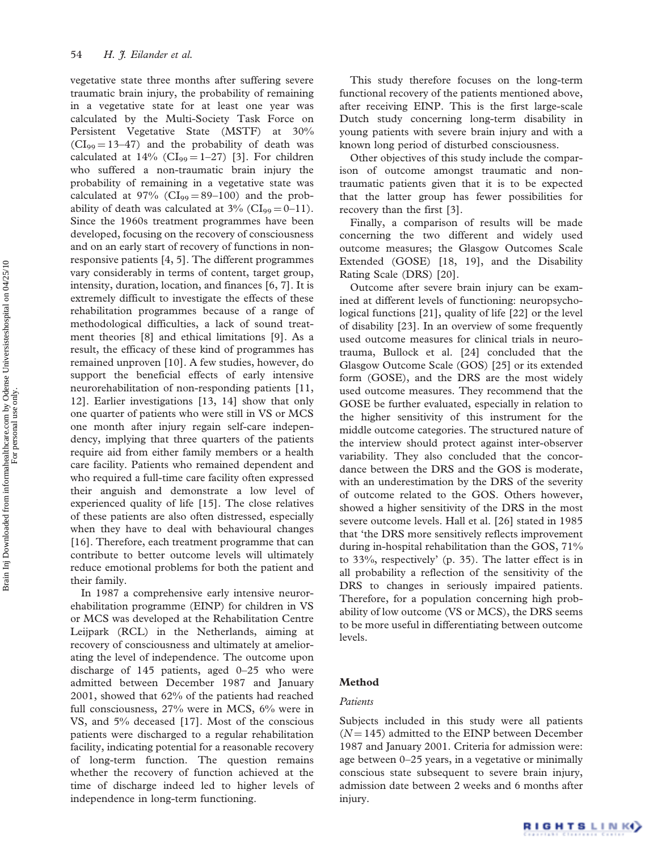vegetative state three months after suffering severe traumatic brain injury, the probability of remaining in a vegetative state for at least one year was calculated by the Multi-Society Task Force on Persistent Vegetative State (MSTF) at 30%  $(CI_{99} = 13-47)$  and the probability of death was calculated at  $14\%$  (CI<sub>99</sub> = 1–27) [3]. For children who suffered a non-traumatic brain injury the probability of remaining in a vegetative state was calculated at 97% ( $CI_{99} = 89-100$ ) and the probability of death was calculated at  $3\%$  (CI<sub>99</sub> = 0–11). Since the 1960s treatment programmes have been developed, focusing on the recovery of consciousness and on an early start of recovery of functions in nonresponsive patients [4, 5]. The different programmes vary considerably in terms of content, target group, intensity, duration, location, and finances [6, 7]. It is extremely difficult to investigate the effects of these rehabilitation programmes because of a range of methodological difficulties, a lack of sound treatment theories [8] and ethical limitations [9]. As a result, the efficacy of these kind of programmes has remained unproven [10]. A few studies, however, do support the beneficial effects of early intensive neurorehabilitation of non-responding patients [11, 12]. Earlier investigations [13, 14] show that only one quarter of patients who were still in VS or MCS one month after injury regain self-care independency, implying that three quarters of the patients require aid from either family members or a health care facility. Patients who remained dependent and who required a full-time care facility often expressed their anguish and demonstrate a low level of experienced quality of life [15]. The close relatives of these patients are also often distressed, especially when they have to deal with behavioural changes [16]. Therefore, each treatment programme that can contribute to better outcome levels will ultimately reduce emotional problems for both the patient and their family.

In 1987 a comprehensive early intensive neurorehabilitation programme (EINP) for children in VS or MCS was developed at the Rehabilitation Centre Leijpark (RCL) in the Netherlands, aiming at recovery of consciousness and ultimately at ameliorating the level of independence. The outcome upon discharge of 145 patients, aged 0–25 who were admitted between December 1987 and January 2001, showed that 62% of the patients had reached full consciousness, 27% were in MCS, 6% were in VS, and 5% deceased [17]. Most of the conscious patients were discharged to a regular rehabilitation facility, indicating potential for a reasonable recovery of long-term function. The question remains whether the recovery of function achieved at the time of discharge indeed led to higher levels of independence in long-term functioning.

This study therefore focuses on the long-term functional recovery of the patients mentioned above, after receiving EINP. This is the first large-scale Dutch study concerning long-term disability in young patients with severe brain injury and with a known long period of disturbed consciousness.

Other objectives of this study include the comparison of outcome amongst traumatic and nontraumatic patients given that it is to be expected that the latter group has fewer possibilities for recovery than the first [3].

Finally, a comparison of results will be made concerning the two different and widely used outcome measures; the Glasgow Outcomes Scale Extended (GOSE) [18, 19], and the Disability Rating Scale (DRS) [20].

Outcome after severe brain injury can be examined at different levels of functioning: neuropsychological functions [21], quality of life [22] or the level of disability [23]. In an overview of some frequently used outcome measures for clinical trials in neurotrauma, Bullock et al. [24] concluded that the Glasgow Outcome Scale (GOS) [25] or its extended form (GOSE), and the DRS are the most widely used outcome measures. They recommend that the GOSE be further evaluated, especially in relation to the higher sensitivity of this instrument for the middle outcome categories. The structured nature of the interview should protect against inter-observer variability. They also concluded that the concordance between the DRS and the GOS is moderate, with an underestimation by the DRS of the severity of outcome related to the GOS. Others however, showed a higher sensitivity of the DRS in the most severe outcome levels. Hall et al. [26] stated in 1985 that 'the DRS more sensitively reflects improvement during in-hospital rehabilitation than the GOS, 71% to 33%, respectively' (p. 35). The latter effect is in all probability a reflection of the sensitivity of the DRS to changes in seriously impaired patients. Therefore, for a population concerning high probability of low outcome (VS or MCS), the DRS seems to be more useful in differentiating between outcome levels.

# Method

### Patients

Subjects included in this study were all patients  $(N = 145)$  admitted to the EINP between December 1987 and January 2001. Criteria for admission were: age between 0–25 years, in a vegetative or minimally conscious state subsequent to severe brain injury, admission date between 2 weeks and 6 months after injury.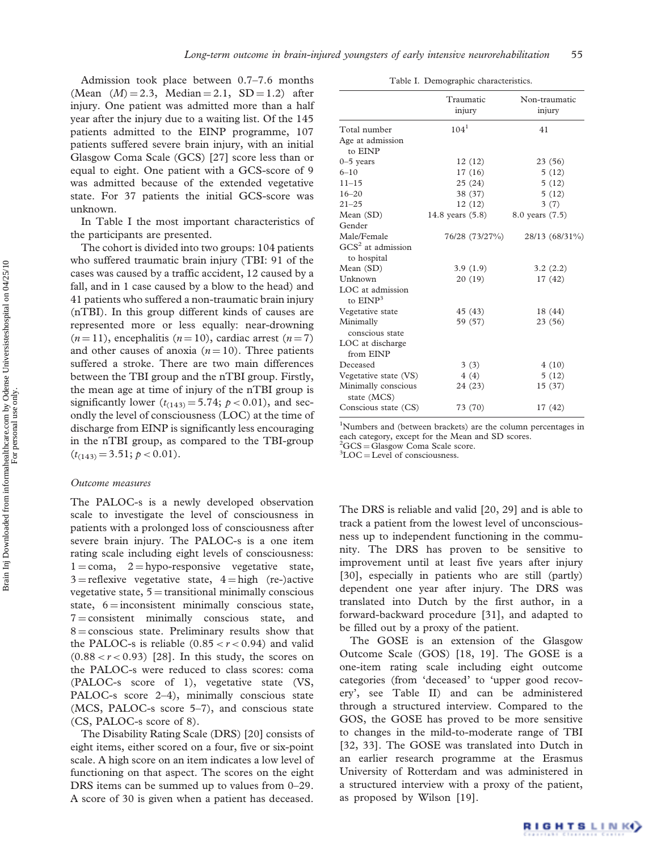Admission took place between 0.7–7.6 months (Mean  $(M) = 2.3$ , Median = 2.1, SD = 1.2) after injury. One patient was admitted more than a half year after the injury due to a waiting list. Of the 145 patients admitted to the EINP programme, 107 patients suffered severe brain injury, with an initial Glasgow Coma Scale (GCS) [27] score less than or equal to eight. One patient with a GCS-score of 9 was admitted because of the extended vegetative state. For 37 patients the initial GCS-score was unknown.

In Table I the most important characteristics of the participants are presented.

The cohort is divided into two groups: 104 patients who suffered traumatic brain injury (TBI: 91 of the cases was caused by a traffic accident, 12 caused by a fall, and in 1 case caused by a blow to the head) and 41 patients who suffered a non-traumatic brain injury (nTBI). In this group different kinds of causes are represented more or less equally: near-drowning  $(n = 11)$ , encephalitis  $(n = 10)$ , cardiac arrest  $(n = 7)$ and other causes of anoxia  $(n = 10)$ . Three patients suffered a stroke. There are two main differences between the TBI group and the nTBI group. Firstly, the mean age at time of injury of the nTBI group is significantly lower  $(t_{(143)} = 5.74; p < 0.01)$ , and secondly the level of consciousness (LOC) at the time of discharge from EINP is significantly less encouraging in the nTBI group, as compared to the TBI-group  $(t_{(143)} = 3.51; p < 0.01).$ 

#### Outcome measures

The PALOC-s is a newly developed observation scale to investigate the level of consciousness in patients with a prolonged loss of consciousness after severe brain injury. The PALOC-s is a one item rating scale including eight levels of consciousness:  $1 = \text{coma}, \quad 2 = \text{hypo-responsive}$  vegetative state,  $3$  = reflexive vegetative state,  $4$  = high (re-)active vegetative state,  $5 =$  transitional minimally conscious state,  $6 =$  inconsistent minimally conscious state,  $7 =$  consistent minimally conscious state, and  $8 =$  conscious state. Preliminary results show that the PALOC-s is reliable  $(0.85 < r < 0.94)$  and valid  $(0.88 < r < 0.93)$  [28]. In this study, the scores on the PALOC-s were reduced to class scores: coma (PALOC-s score of 1), vegetative state (VS, PALOC-s score 2–4), minimally conscious state (MCS, PALOC-s score 5–7), and conscious state (CS, PALOC-s score of 8).

The Disability Rating Scale (DRS) [20] consists of eight items, either scored on a four, five or six-point scale. A high score on an item indicates a low level of functioning on that aspect. The scores on the eight DRS items can be summed up to values from 0–29. A score of 30 is given when a patient has deceased.

|  |  | Table I. Demographic characteristics. |
|--|--|---------------------------------------|
|--|--|---------------------------------------|

|                                    | Traumatic<br>injury | Non-traumatic<br>injury |
|------------------------------------|---------------------|-------------------------|
| Total number                       | 104 <sup>1</sup>    | 41                      |
| Age at admission<br>to EINP        |                     |                         |
| $0-5$ years                        | 12(12)              | 23 (56)                 |
| $6 - 10$                           | 17(16)              | 5(12)                   |
| $11 - 15$                          | 25 (24)             | 5(12)                   |
| $16 - 20$                          | 38 (37)             | 5(12)                   |
| $21 - 25$                          | 12(12)              | 3(7)                    |
| Mean (SD)                          | 14.8 years (5.8)    | 8.0 years (7.5)         |
| Gender                             |                     |                         |
| Male/Female                        | 76/28 (73/27%)      | 28/13 (68/31%)          |
| $GCS2$ at admission<br>to hospital |                     |                         |
| Mean (SD)                          | 3.9(1.9)            | 3.2(2.2)                |
| Unknown                            | 20(19)              | 17 (42)                 |
| LOC at admission<br>to $EINP3$     |                     |                         |
| Vegetative state                   | 45 (43)             | 18 (44)                 |
| Minimally<br>conscious state       | 59 (57)             | 23 (56)                 |
| LOC at discharge<br>from EINP      |                     |                         |
| Deceased                           | 3(3)                | 4(10)                   |
| Vegetative state (VS)              | 4(4)                | 5(12)                   |
| Minimally conscious<br>state (MCS) | 24 (23)             | 15(37)                  |
| Conscious state (CS)               | 73 (70)             | 17 (42)                 |

<sup>1</sup>Numbers and (between brackets) are the column percentages in each category, except for the Mean and SD scores.

 ${}^{2}GCS = Glasgow Coma Scale score.$ <sup>31</sup> OC – Level of consciousness.

 ${}^{3}LOC = Level$  of consciousness.

The DRS is reliable and valid [20, 29] and is able to track a patient from the lowest level of unconsciousness up to independent functioning in the community. The DRS has proven to be sensitive to improvement until at least five years after injury [30], especially in patients who are still (partly) dependent one year after injury. The DRS was translated into Dutch by the first author, in a forward-backward procedure [31], and adapted to be filled out by a proxy of the patient.

The GOSE is an extension of the Glasgow Outcome Scale (GOS) [18, 19]. The GOSE is a one-item rating scale including eight outcome categories (from 'deceased' to 'upper good recovery', see Table II) and can be administered through a structured interview. Compared to the GOS, the GOSE has proved to be more sensitive to changes in the mild-to-moderate range of TBI [32, 33]. The GOSE was translated into Dutch in an earlier research programme at the Erasmus University of Rotterdam and was administered in a structured interview with a proxy of the patient, as proposed by Wilson [19].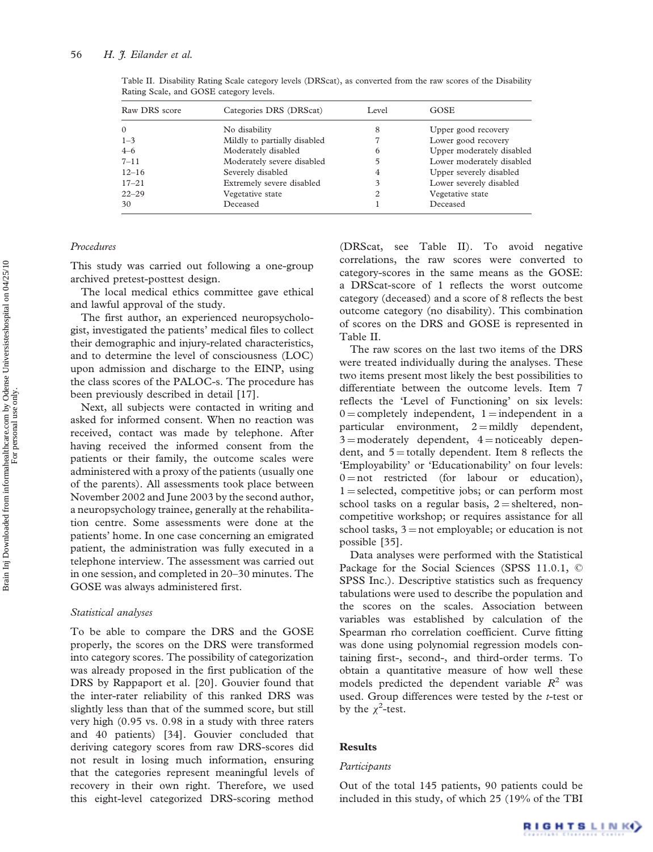| Raw DRS score | Categories DRS (DRScat)      | Level | GOSE                      |
|---------------|------------------------------|-------|---------------------------|
| $\Omega$      | No disability                | 8     | Upper good recovery       |
| $1 - 3$       | Mildly to partially disabled |       | Lower good recovery       |
| $4 - 6$       | Moderately disabled          | 6     | Upper moderately disabled |
| $7 - 11$      | Moderately severe disabled   | 5     | Lower moderately disabled |
| $12 - 16$     | Severely disabled            | 4     | Upper severely disabled   |
| $17 - 21$     | Extremely severe disabled    | 3     | Lower severely disabled   |
| $22 - 29$     | Vegetative state             | 2     | Vegetative state          |
| 30            | Deceased                     |       | Deceased                  |

Table II. Disability Rating Scale category levels (DRScat), as converted from the raw scores of the Disability Rating Scale, and GOSE category levels.

# Procedures

This study was carried out following a one-group archived pretest-posttest design.

The local medical ethics committee gave ethical and lawful approval of the study.

The first author, an experienced neuropsychologist, investigated the patients' medical files to collect their demographic and injury-related characteristics, and to determine the level of consciousness (LOC) upon admission and discharge to the EINP, using the class scores of the PALOC-s. The procedure has been previously described in detail [17].

Next, all subjects were contacted in writing and asked for informed consent. When no reaction was received, contact was made by telephone. After having received the informed consent from the patients or their family, the outcome scales were administered with a proxy of the patients (usually one of the parents). All assessments took place between November 2002 and June 2003 by the second author, a neuropsychology trainee, generally at the rehabilitation centre. Some assessments were done at the patients' home. In one case concerning an emigrated patient, the administration was fully executed in a telephone interview. The assessment was carried out in one session, and completed in 20–30 minutes. The GOSE was always administered first.

#### Statistical analyses

To be able to compare the DRS and the GOSE properly, the scores on the DRS were transformed into category scores. The possibility of categorization was already proposed in the first publication of the DRS by Rappaport et al. [20]. Gouvier found that the inter-rater reliability of this ranked DRS was slightly less than that of the summed score, but still very high (0.95 vs. 0.98 in a study with three raters and 40 patients) [34]. Gouvier concluded that deriving category scores from raw DRS-scores did not result in losing much information, ensuring that the categories represent meaningful levels of recovery in their own right. Therefore, we used this eight-level categorized DRS-scoring method

(DRScat, see Table II). To avoid negative correlations, the raw scores were converted to category-scores in the same means as the GOSE: a DRScat-score of 1 reflects the worst outcome category (deceased) and a score of 8 reflects the best outcome category (no disability). This combination of scores on the DRS and GOSE is represented in Table II.

The raw scores on the last two items of the DRS were treated individually during the analyses. These two items present most likely the best possibilities to differentiate between the outcome levels. Item 7 reflects the 'Level of Functioning' on six levels:  $0 =$ completely independent, 1 = independent in a particular environment,  $2 =$  mildly dependent,  $3 =$  moderately dependent,  $4 =$  noticeably dependent, and  $5 =$  totally dependent. Item 8 reflects the 'Employability' or 'Educationability' on four levels:  $0 = not$  restricted (for labour or education),  $1 =$  selected, competitive jobs; or can perform most school tasks on a regular basis,  $2 =$  sheltered, noncompetitive workshop; or requires assistance for all school tasks,  $3 =$  not employable; or education is not possible [35].

Data analyses were performed with the Statistical Package for the Social Sciences (SPSS 11.0.1,  $\odot$ SPSS Inc.). Descriptive statistics such as frequency tabulations were used to describe the population and the scores on the scales. Association between variables was established by calculation of the Spearman rho correlation coefficient. Curve fitting was done using polynomial regression models containing first-, second-, and third-order terms. To obtain a quantitative measure of how well these models predicted the dependent variable  $R^2$  was used. Group differences were tested by the t-test or by the  $\chi^2$ -test.

#### Results

#### Participants

Out of the total 145 patients, 90 patients could be included in this study, of which 25 (19% of the TBI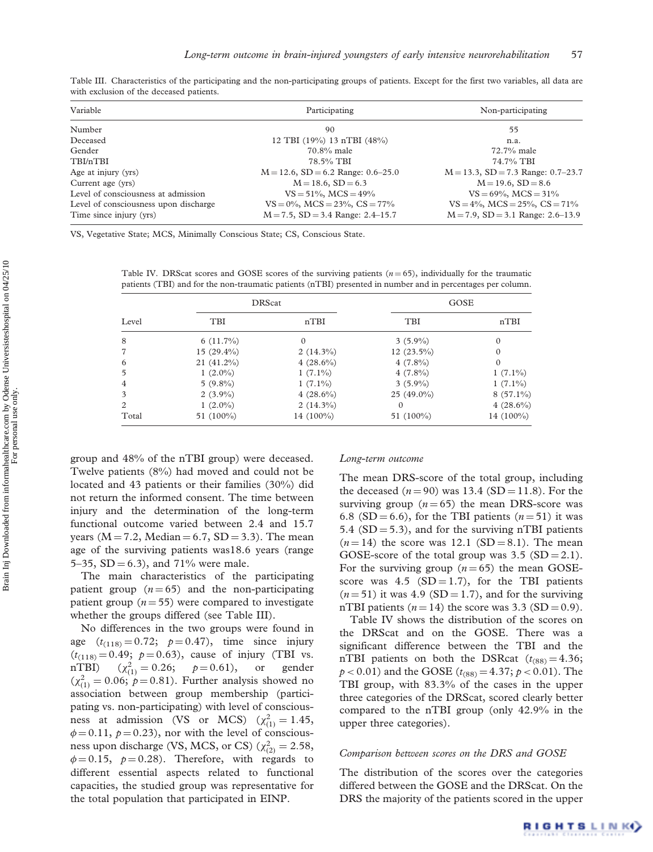| Variable                              | Participating                           | Non-participating                       |
|---------------------------------------|-----------------------------------------|-----------------------------------------|
| Number                                | 90                                      | 55                                      |
| Deceased                              | 12 TBI (19%) 13 nTBI (48%)              | n.a.                                    |
| Gender                                | $70.8\%$ male                           | 72.7% male                              |
| TBI/nTBI                              | 78.5% TBI                               | 74.7% TBI                               |
| Age at injury (yrs)                   | $M = 12.6$ , $SD = 6.2$ Range: 0.6–25.0 | $M = 13.3$ , $SD = 7.3$ Range: 0.7-23.7 |
| Current age (yrs)                     | $M = 18.6$ , $SD = 6.3$                 | $M = 19.6$ , $SD = 8.6$                 |
| Level of consciousness at admission   | $VS = 51\%$ , $MCS = 49\%$              | $VS = 69\%, MCS = 31\%$                 |
| Level of consciousness upon discharge | $VS = 0\%$ , MCS = 23%, CS = 77%        | $VS = 4\%, MCS = 25\%, CS = 71\%$       |
| Time since injury (yrs)               | $M = 7.5$ , $SD = 3.4$ Range: 2.4–15.7  | $M = 7.9$ , $SD = 3.1$ Range: 2.6–13.9  |

Table III. Characteristics of the participating and the non-participating groups of patients. Except for the first two variables, all data are with exclusion of the deceased patients.

VS, Vegetative State; MCS, Minimally Conscious State; CS, Conscious State.

Table IV. DRScat scores and GOSE scores of the surviving patients  $(n = 65)$ , individually for the traumatic patients (TBI) and for the non-traumatic patients (nTBI) presented in number and in percentages per column.

| Level                         | <b>DRScat</b> |             | GOSE         |              |
|-------------------------------|---------------|-------------|--------------|--------------|
|                               | TBI           | nTBI        | <b>TBI</b>   | nTBI         |
| 8                             | $6(11.7\%)$   | $\Omega$    | $3(5.9\%)$   | $\mathbf{0}$ |
|                               | $15(29.4\%)$  | $2(14.3\%)$ | $12(23.5\%)$ | $\mathbf{0}$ |
| 6                             | $21(41.2\%)$  | $4(28.6\%)$ | $4(7.8\%)$   | $\mathbf{0}$ |
| 5                             | $1(2.0\%)$    | $1(7.1\%)$  | $4(7.8\%)$   | $1(7.1\%)$   |
| 4                             | $5(9.8\%)$    | $1(7.1\%)$  | $3(5.9\%)$   | $1(7.1\%)$   |
| 3                             | $2(3.9\%)$    | $4(28.6\%)$ | $25(49.0\%)$ | $8(57.1\%)$  |
| $\mathfrak{D}_{\mathfrak{p}}$ | $1(2.0\%)$    | $2(14.3\%)$ | 0            | $4(28.6\%)$  |
| Total                         | 51 $(100\%)$  | 14 (100%)   | 51 $(100\%)$ | 14 $(100\%)$ |

group and 48% of the nTBI group) were deceased. Twelve patients (8%) had moved and could not be located and 43 patients or their families (30%) did not return the informed consent. The time between injury and the determination of the long-term functional outcome varied between 2.4 and 15.7 years ( $M = 7.2$ , Median = 6.7, SD = 3.3). The mean age of the surviving patients was18.6 years (range 5–35,  $SD = 6.3$ , and 71% were male.

The main characteristics of the participating patient group  $(n = 65)$  and the non-participating patient group ( $n = 55$ ) were compared to investigate whether the groups differed (see Table III).

No differences in the two groups were found in age  $(t_{(118)} = 0.72; p = 0.47)$ , time since injury  $(t_{(118)} = 0.49; \ p = 0.63)$ , cause of injury (TBI vs.  $nTBI$ )  $\chi^2_{(1)} = 0.26; \quad p = 0.61$ , or gender  $(\chi^2_{(1)} = 0.06; \ p = 0.81)$ . Further analysis showed no association between group membership (participating vs. non-participating) with level of consciousness at admission (VS or MCS)  $(\chi^2_{(1)} = 1.45,$  $\phi = 0.11$ ,  $p = 0.23$ ), nor with the level of consciousness upon discharge (VS, MCS, or CS) ( $\chi^2_{(2)} = 2.58$ ,  $\phi = 0.15$ ,  $p = 0.28$ ). Therefore, with regards to different essential aspects related to functional capacities, the studied group was representative for the total population that participated in EINP.

#### Long-term outcome

The mean DRS-score of the total group, including the deceased  $(n=90)$  was 13.4 (SD = 11.8). For the surviving group  $(n = 65)$  the mean DRS-score was 6.8 (SD = 6.6), for the TBI patients  $(n=51)$  it was 5.4 ( $SD = 5.3$ ), and for the surviving nTBI patients  $(n = 14)$  the score was 12.1 (SD = 8.1). The mean GOSE-score of the total group was  $3.5$  (SD = 2.1). For the surviving group  $(n = 65)$  the mean GOSEscore was  $4.5$  (SD = 1.7), for the TBI patients  $(n = 51)$  it was 4.9 (SD = 1.7), and for the surviving nTBI patients ( $n = 14$ ) the score was 3.3 (SD = 0.9).

Table IV shows the distribution of the scores on the DRScat and on the GOSE. There was a significant difference between the TBI and the nTBI patients on both the DSRcat  $(t<sub>(88)</sub> = 4.36;$  $p < 0.01$ ) and the GOSE ( $t_{(88)} = 4.37$ ;  $p < 0.01$ ). The TBI group, with 83.3% of the cases in the upper three categories of the DRScat, scored clearly better compared to the nTBI group (only 42.9% in the upper three categories).

#### Comparison between scores on the DRS and GOSE

The distribution of the scores over the categories differed between the GOSE and the DRScat. On the DRS the majority of the patients scored in the upper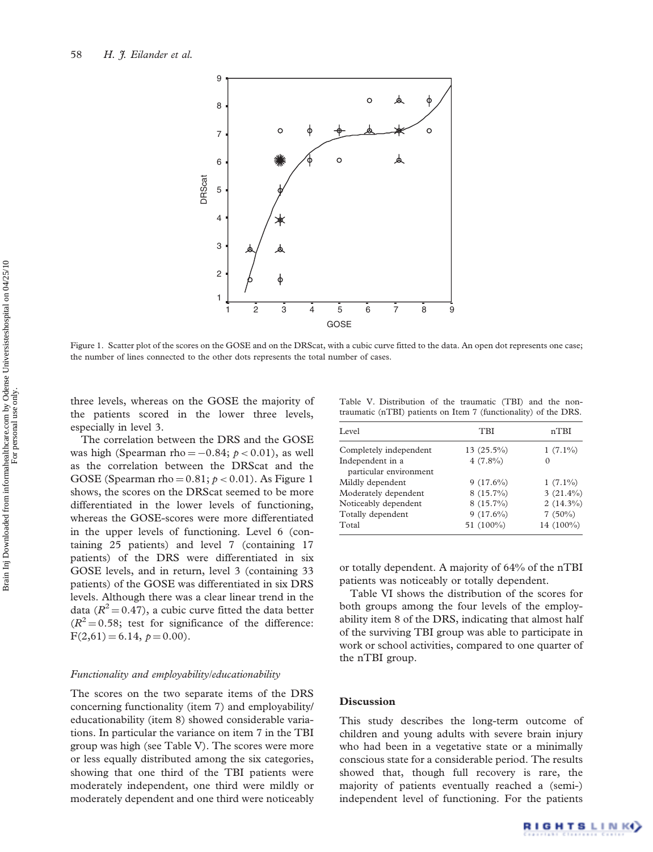

Figure 1. Scatter plot of the scores on the GOSE and on the DRScat, with a cubic curve fitted to the data. An open dot represents one case; the number of lines connected to the other dots represents the total number of cases.

three levels, whereas on the GOSE the majority of the patients scored in the lower three levels, especially in level 3.

The correlation between the DRS and the GOSE was high (Spearman rho  $= -0.84$ ;  $p < 0.01$ ), as well as the correlation between the DRScat and the GOSE (Spearman rho =  $0.81; p < 0.01$ ). As Figure 1 shows, the scores on the DRScat seemed to be more differentiated in the lower levels of functioning, whereas the GOSE-scores were more differentiated in the upper levels of functioning. Level 6 (containing 25 patients) and level 7 (containing 17 patients) of the DRS were differentiated in six GOSE levels, and in return, level 3 (containing 33 patients) of the GOSE was differentiated in six DRS levels. Although there was a clear linear trend in the data ( $R^2 = 0.47$ ), a cubic curve fitted the data better  $(R^2 = 0.58$ ; test for significance of the difference:  $F(2,61) = 6.14, p = 0.00$ .

#### Functionality and employability/educationability

The scores on the two separate items of the DRS concerning functionality (item 7) and employability/ educationability (item 8) showed considerable variations. In particular the variance on item 7 in the TBI group was high (see Table V). The scores were more or less equally distributed among the six categories, showing that one third of the TBI patients were moderately independent, one third were mildly or moderately dependent and one third were noticeably Table V. Distribution of the traumatic (TBI) and the nontraumatic (nTBI) patients on Item 7 (functionality) of the DRS.

| Level                                      | TBI          | nTBI        |
|--------------------------------------------|--------------|-------------|
| Completely independent                     | $13(25.5\%)$ | $1(7.1\%)$  |
| Independent in a<br>particular environment | $4(7.8\%)$   | $\theta$    |
| Mildly dependent                           | $9(17.6\%)$  | $1(7.1\%)$  |
| Moderately dependent                       | $8(15.7\%)$  | $3(21.4\%)$ |
| Noticeably dependent                       | $8(15.7\%)$  | $2(14.3\%)$ |
| Totally dependent                          | $9(17.6\%)$  | $7(50\%)$   |
| Total                                      | 51 (100%)    | 14 (100%)   |

or totally dependent. A majority of 64% of the nTBI patients was noticeably or totally dependent.

Table VI shows the distribution of the scores for both groups among the four levels of the employability item 8 of the DRS, indicating that almost half of the surviving TBI group was able to participate in work or school activities, compared to one quarter of the nTBI group.

# Discussion

This study describes the long-term outcome of children and young adults with severe brain injury who had been in a vegetative state or a minimally conscious state for a considerable period. The results showed that, though full recovery is rare, the majority of patients eventually reached a (semi-) independent level of functioning. For the patients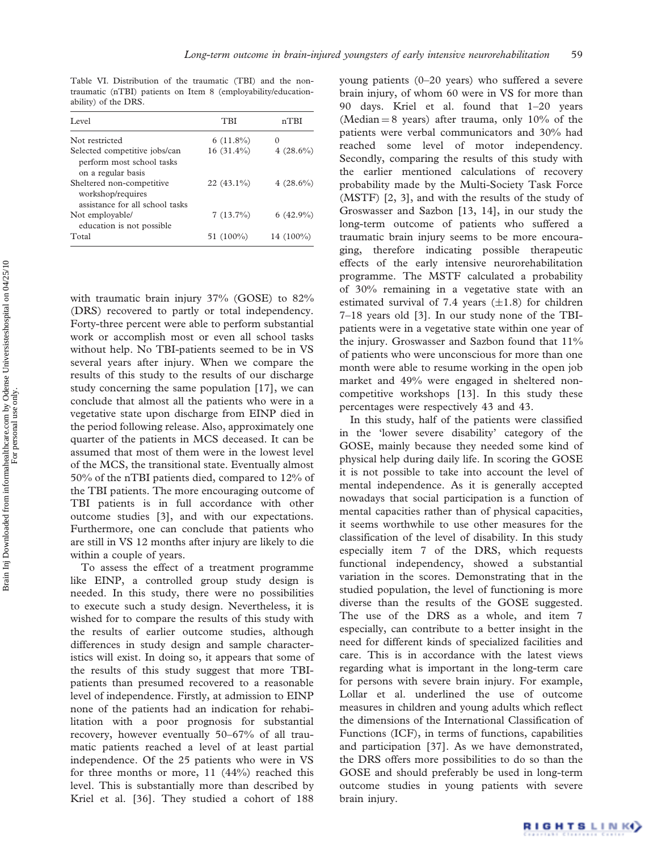Table VI. Distribution of the traumatic (TBI) and the nontraumatic (nTBI) patients on Item 8 (employability/educationability) of the DRS.

| Level                                                                            | TRI          | nTRI        |
|----------------------------------------------------------------------------------|--------------|-------------|
| Not restricted                                                                   | $6(11.8\%)$  |             |
| Selected competitive jobs/can<br>perform most school tasks<br>on a regular basis | $16(31.4\%)$ | $4(28.6\%)$ |
| Sheltered non-competitive<br>workshop/requires                                   | $22(43.1\%)$ | $4(28.6\%)$ |
| assistance for all school tasks<br>Not employable/<br>education is not possible  | $7(13.7\%)$  | $6(42.9\%)$ |
| Total                                                                            | 51 $(100\%)$ | $14(100\%)$ |

with traumatic brain injury 37% (GOSE) to 82% (DRS) recovered to partly or total independency. Forty-three percent were able to perform substantial work or accomplish most or even all school tasks without help. No TBI-patients seemed to be in VS several years after injury. When we compare the results of this study to the results of our discharge study concerning the same population [17], we can conclude that almost all the patients who were in a vegetative state upon discharge from EINP died in the period following release. Also, approximately one quarter of the patients in MCS deceased. It can be assumed that most of them were in the lowest level of the MCS, the transitional state. Eventually almost 50% of the nTBI patients died, compared to 12% of the TBI patients. The more encouraging outcome of TBI patients is in full accordance with other outcome studies [3], and with our expectations. Furthermore, one can conclude that patients who are still in VS 12 months after injury are likely to die within a couple of years.

To assess the effect of a treatment programme like EINP, a controlled group study design is needed. In this study, there were no possibilities to execute such a study design. Nevertheless, it is wished for to compare the results of this study with the results of earlier outcome studies, although differences in study design and sample characteristics will exist. In doing so, it appears that some of the results of this study suggest that more TBIpatients than presumed recovered to a reasonable level of independence. Firstly, at admission to EINP none of the patients had an indication for rehabilitation with a poor prognosis for substantial recovery, however eventually 50–67% of all traumatic patients reached a level of at least partial independence. Of the 25 patients who were in VS for three months or more, 11 (44%) reached this level. This is substantially more than described by Kriel et al. [36]. They studied a cohort of 188

young patients (0–20 years) who suffered a severe brain injury, of whom 60 were in VS for more than 90 days. Kriel et al. found that 1–20 years (Median  $= 8$  years) after trauma, only 10% of the patients were verbal communicators and 30% had reached some level of motor independency. Secondly, comparing the results of this study with the earlier mentioned calculations of recovery probability made by the Multi-Society Task Force (MSTF) [2, 3], and with the results of the study of Groswasser and Sazbon [13, 14], in our study the long-term outcome of patients who suffered a traumatic brain injury seems to be more encouraging, therefore indicating possible therapeutic effects of the early intensive neurorehabilitation programme. The MSTF calculated a probability of 30% remaining in a vegetative state with an estimated survival of 7.4 years  $(\pm 1.8)$  for children 7–18 years old [3]. In our study none of the TBIpatients were in a vegetative state within one year of the injury. Groswasser and Sazbon found that 11% of patients who were unconscious for more than one month were able to resume working in the open job market and 49% were engaged in sheltered noncompetitive workshops [13]. In this study these percentages were respectively 43 and 43.

In this study, half of the patients were classified in the 'lower severe disability' category of the GOSE, mainly because they needed some kind of physical help during daily life. In scoring the GOSE it is not possible to take into account the level of mental independence. As it is generally accepted nowadays that social participation is a function of mental capacities rather than of physical capacities, it seems worthwhile to use other measures for the classification of the level of disability. In this study especially item 7 of the DRS, which requests functional independency, showed a substantial variation in the scores. Demonstrating that in the studied population, the level of functioning is more diverse than the results of the GOSE suggested. The use of the DRS as a whole, and item 7 especially, can contribute to a better insight in the need for different kinds of specialized facilities and care. This is in accordance with the latest views regarding what is important in the long-term care for persons with severe brain injury. For example, Lollar et al. underlined the use of outcome measures in children and young adults which reflect the dimensions of the International Classification of Functions (ICF), in terms of functions, capabilities and participation [37]. As we have demonstrated, the DRS offers more possibilities to do so than the GOSE and should preferably be used in long-term outcome studies in young patients with severe brain injury.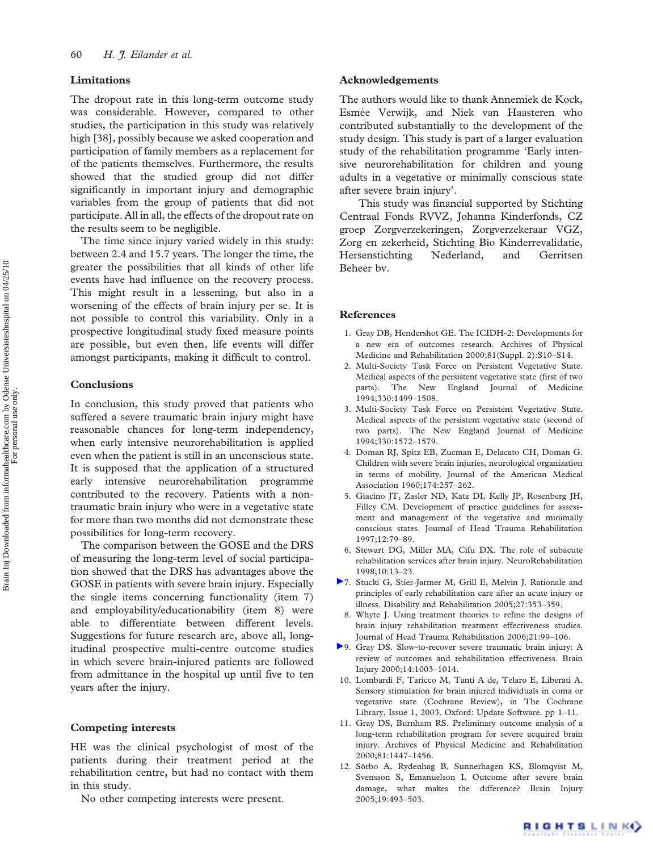# Limitations

The dropout rate in this long-term outcome study was considerable. However, compared to other studies, the participation in this study was relatively high [38], possibly because we asked cooperation and participation of family members as a replacement for of the patients themselves. Furthermore, the results showed that the studied group did not differ significantly in important injury and demographic variables from the group of patients that did not participate. All in all, the effects of the dropout rate on the results seem to be negligible.

The time since injury varied widely in this study: between 2.4 and 15.7 years. The longer the time, the greater the possibilities that all kinds of other life events have had influence on the recovery process. This might result in a lessening, but also in a worsening of the effects of brain injury per se. It is not possible to control this variability. Only in a prospective longitudinal study fixed measure points are possible, but even then, life events will differ amongst participants, making it difficult to control.

# Conclusions

In conclusion, this study proved that patients who suffered a severe traumatic brain injury might have reasonable chances for long-term independency, when early intensive neurorehabilitation is applied even when the patient is still in an unconscious state. It is supposed that the application of a structured early intensive neurorehabilitation programme contributed to the recovery. Patients with a nontraumatic brain injury who were in a vegetative state for more than two months did not demonstrate these possibilities for long-term recovery.

The comparison between the GOSE and the DRS of measuring the long-term level of social participation showed that the DRS has advantages above the GOSE in patients with severe brain injury. Especially the single items concerning functionality (item 7) and employability/educationability (item 8) were able to differentiate between different levels. Suggestions for future research are, above all, longitudinal prospective multi-centre outcome studies in which severe brain-injured patients are followed from admittance in the hospital up until five to ten years after the injury.

### Competing interests

HE was the clinical psychologist of most of the patients during their treatment period at the rehabilitation centre, but had no contact with them in this study.

No other competing interests were present.

## Acknowledgements

The authors would like to thank Annemiek de Kock, Esmée Verwijk, and Niek van Haasteren who contributed substantially to the development of the study design. This study is part of a larger evaluation study of the rehabilitation programme 'Early intensive neurorehabilitation for children and young adults in a vegetative or minimally conscious state after severe brain injury'.

This study was financial supported by Stichting Centraal Fonds RVVZ, Johanna Kinderfonds, CZ groep Zorgverzekeringen, Zorgverzekeraar VGZ, Zorg en zekerheid, Stichting Bio Kinderrevalidatie, Hersenstichting Nederland, and Gerritsen Beheer bv.

#### References

- 1. Gray DB, Hendershot GE. The ICIDH-2: Developments for a new era of outcomes research. Archives of Physical Medicine and Rehabilitation 2000;81(Suppl. 2):S10–S14.
- 2. Multi-Society Task Force on Persistent Vegetative State. Medical aspects of the persistent vegetative state (first of two parts). The New England Journal of Medicine 1994;330:1499–1508.
- 3. Multi-Society Task Force on Persistent Vegetative State. Medical aspects of the persistent vegetative state (second of two parts). The New England Journal of Medicine 1994;330:1572–1579.
- 4. Doman RJ, Spitz EB, Zucman E, Delacato CH, Doman G. Children with severe brain injuries, neurological organization in terms of mobility. Journal of the American Medical Association 1960;174:257–262.
- 5. Giacino JT, Zasler ND, Katz DI, Kelly JP, Rosenberg JH, Filley CM. Development of practice guidelines for assessment and management of the vegetative and minimally conscious states. Journal of Head Trauma Rehabilitation 1997;12:79–89.
- 6. Stewart DG, Miller MA, Cifu DX. The role of subacute rehabilitation services after brain injury. NeuroRehabilitation 1998;10:13–23.
- 7. Stucki G, Stier-Jarmer M, Grill E, Melvin J. Rationale and principles of early rehabilitation care after an acute injury or illness. Disability and Rehabilitation 2005;27:353–359.
- 8. Whyte J. Using treatment theories to refine the designs of brain injury rehabilitation treatment effectiveness studies. Journal of Head Trauma Rehabilitation 2006;21:99–106.
- 9. Gray DS. Slow-to-recover severe traumatic brain injury: A review of outcomes and rehabilitation effectiveness. Brain Injury 2000;14:1003–1014.
- 10. Lombardi F, Taricco M, Tanti A de, Telaro E, Liberati A. Sensory stimulation for brain injured individuals in coma or vegetative state (Cochrane Review), in The Cochrane Library, Issue 1, 2003. Oxford: Update Software. pp 1–11.
- 11. Gray DS, Burnham RS. Preliminary outcome analysis of a long-term rehabilitation program for severe acquired brain injury. Archives of Physical Medicine and Rehabilitation 2000;81:1447–1456.
- 12. Sörbo A, Rydenhag B, Sunnerhagen KS, Blomqvist M, Svensson S, Emanuelson I. Outcome after severe brain damage, what makes the difference? Brain Injury 2005;19:493–503.